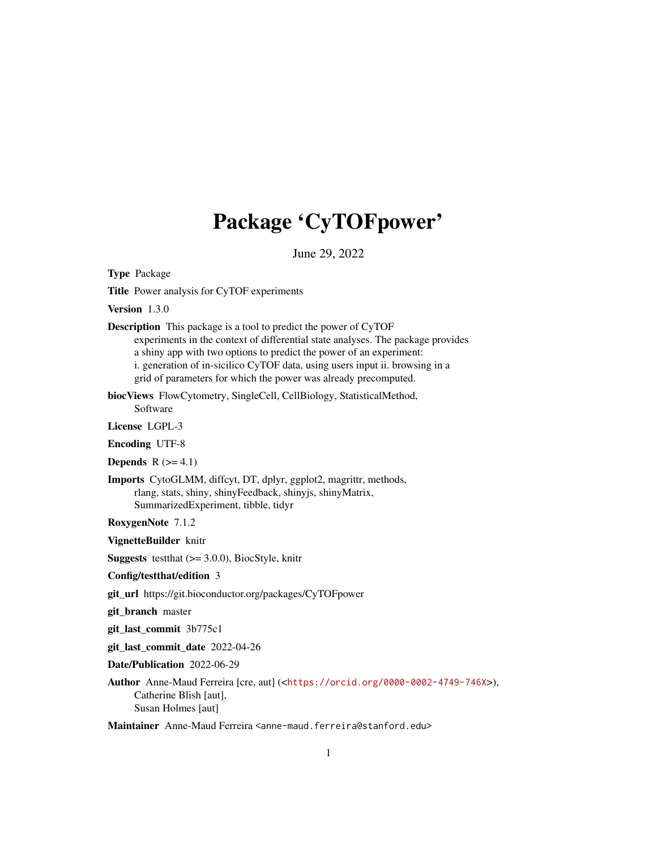## Package 'CyTOFpower'

June 29, 2022

Type Package

Title Power analysis for CyTOF experiments

Version 1.3.0

Description This package is a tool to predict the power of CyTOF experiments in the context of differential state analyses. The package provides a shiny app with two options to predict the power of an experiment: i. generation of in-sicilico CyTOF data, using users input ii. browsing in a grid of parameters for which the power was already precomputed.

biocViews FlowCytometry, SingleCell, CellBiology, StatisticalMethod, Software

License LGPL-3

Encoding UTF-8

**Depends**  $R$  ( $>= 4.1$ )

Imports CytoGLMM, diffcyt, DT, dplyr, ggplot2, magrittr, methods, rlang, stats, shiny, shinyFeedback, shinyjs, shinyMatrix, SummarizedExperiment, tibble, tidyr

RoxygenNote 7.1.2

VignetteBuilder knitr

**Suggests** test that  $(>= 3.0.0)$ , BiocStyle, knitr

Config/testthat/edition 3

git\_url https://git.bioconductor.org/packages/CyTOFpower

git\_branch master

git\_last\_commit 3b775c1

git\_last\_commit\_date 2022-04-26

Date/Publication 2022-06-29

Author Anne-Maud Ferreira [cre, aut] (<<https://orcid.org/0000-0002-4749-746X>>), Catherine Blish [aut], Susan Holmes [aut]

Maintainer Anne-Maud Ferreira <anne-maud.ferreira@stanford.edu>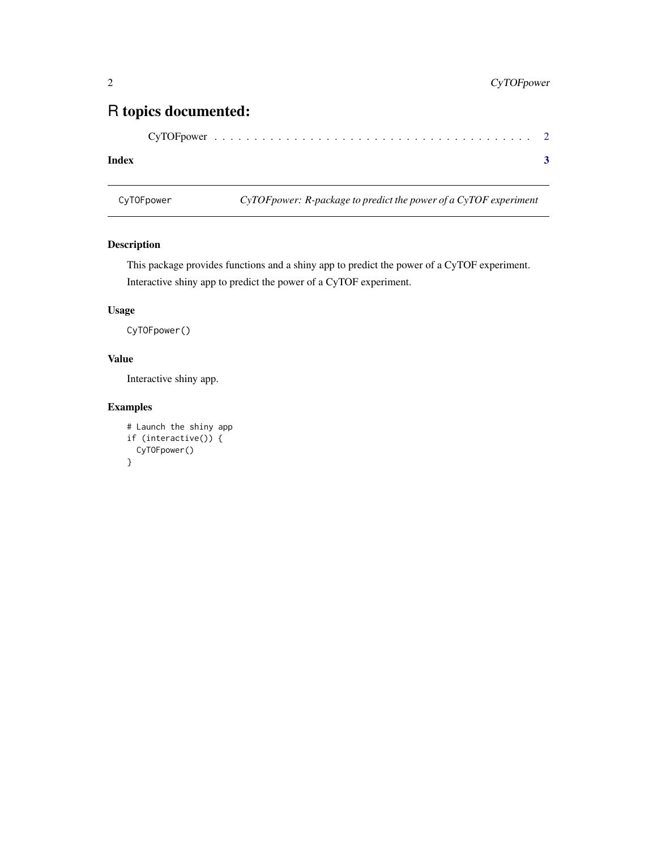### <span id="page-1-0"></span>R topics documented:

#### **Index** [3](#page-2-0)

CyTOFpower *CyTOFpower: R-package to predict the power of a CyTOF experiment*

#### Description

This package provides functions and a shiny app to predict the power of a CyTOF experiment. Interactive shiny app to predict the power of a CyTOF experiment.

#### Usage

CyTOFpower()

#### Value

Interactive shiny app.

#### Examples

```
# Launch the shiny app
if (interactive()) {
  CyTOFpower()
}
```